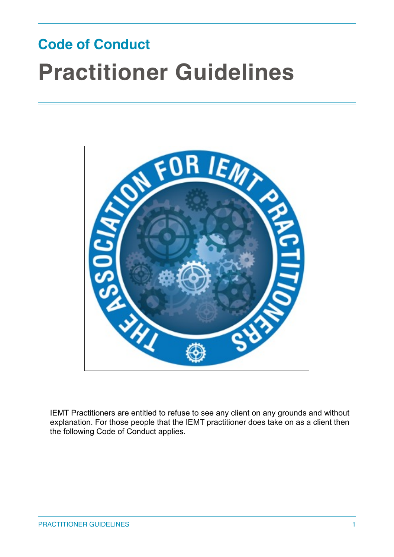# **Code of Conduct Practitioner Guidelines**



IEMT Practitioners are entitled to refuse to see any client on any grounds and without explanation. For those people that the IEMT practitioner does take on as a client then the following Code of Conduct applies.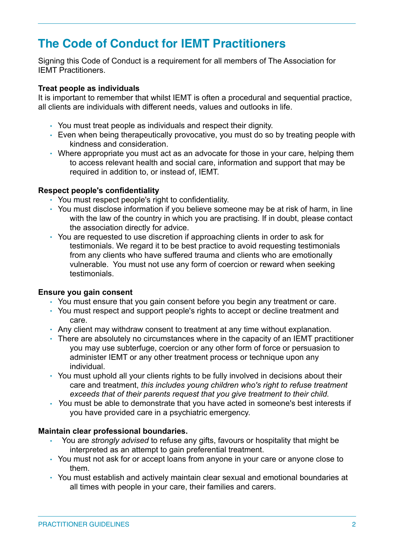# **The Code of Conduct for IEMT Practitioners**

Signing this Code of Conduct is a requirement for all members of The Association for IEMT Practitioners.

# **Treat people as individuals**

It is important to remember that whilst IEMT is often a procedural and sequential practice, all clients are individuals with different needs, values and outlooks in life.

- You must treat people as individuals and respect their dignity.
- Even when being therapeutically provocative, you must do so by treating people with kindness and consideration.
- Where appropriate you must act as an advocate for those in your care, helping them to access relevant health and social care, information and support that may be required in addition to, or instead of, IEMT.

# **Respect people's confidentiality**

- You must respect people's right to confidentiality.
- You must disclose information if you believe someone may be at risk of harm, in line with the law of the country in which you are practising. If in doubt, please contact the association directly for advice.
- You are requested to use discretion if approaching clients in order to ask for testimonials. We regard it to be best practice to avoid requesting testimonials from any clients who have suffered trauma and clients who are emotionally vulnerable. You must not use any form of coercion or reward when seeking testimonials.

# **Ensure you gain consent**

- You must ensure that you gain consent before you begin any treatment or care.
- You must respect and support people's rights to accept or decline treatment and care.
- Any client may withdraw consent to treatment at any time without explanation.
- There are absolutely no circumstances where in the capacity of an IEMT practitioner you may use subterfuge, coercion or any other form of force or persuasion to administer IEMT or any other treatment process or technique upon any individual.
- You must uphold all your clients rights to be fully involved in decisions about their care and treatment, *this includes young children who's right to refuse treatment exceeds that of their parents request that you give treatment to their child.*
- *Y*ou must be able to demonstrate that you have acted in someone's best interests if you have provided care in a psychiatric emergency.

# **Maintain clear professional boundaries.**

- You are *strongly advised* to refuse any gifts, favours or hospitality that might be interpreted as an attempt to gain preferential treatment.
- You must not ask for or accept loans from anyone in your care or anyone close to them.
- You must establish and actively maintain clear sexual and emotional boundaries at all times with people in your care, their families and carers.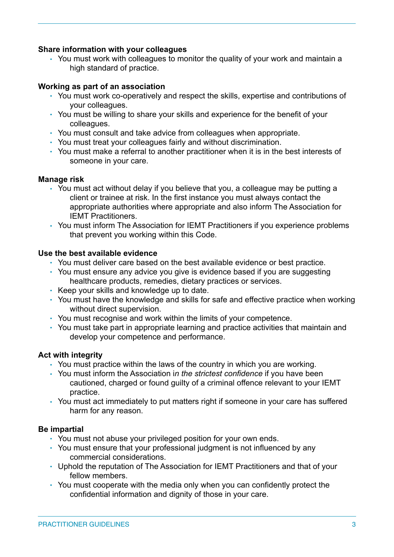# **Share information with your colleagues**

• You must work with colleagues to monitor the quality of your work and maintain a high standard of practice.

# **Working as part of an association**

- You must work co-operatively and respect the skills, expertise and contributions of your colleagues.
- You must be willing to share your skills and experience for the benefit of your colleagues.
- You must consult and take advice from colleagues when appropriate.
- You must treat your colleagues fairly and without discrimination.
- You must make a referral to another practitioner when it is in the best interests of someone in your care.

# **Manage risk**

- You must act without delay if you believe that you, a colleague may be putting a client or trainee at risk. In the first instance you must always contact the appropriate authorities where appropriate and also inform The Association for IEMT Practitioners.
- You must inform The Association for IEMT Practitioners if you experience problems that prevent you working within this Code.

# **Use the best available evidence**

- You must deliver care based on the best available evidence or best practice.
- You must ensure any advice you give is evidence based if you are suggesting healthcare products, remedies, dietary practices or services.
- Keep your skills and knowledge up to date.
- You must have the knowledge and skills for safe and effective practice when working without direct supervision.
- You must recognise and work within the limits of your competence.
- You must take part in appropriate learning and practice activities that maintain and develop your competence and performance.

# **Act with integrity**

- You must practice within the laws of the country in which you are working.
- You must inform the Association i*n the strictest confidence* if you have been cautioned, charged or found guilty of a criminal offence relevant to your IEMT practice.
- You must act immediately to put matters right if someone in your care has suffered harm for any reason.

# **Be impartial**

- You must not abuse your privileged position for your own ends.
- You must ensure that your professional judgment is not influenced by any commercial considerations.
- Uphold the reputation of The Association for IEMT Practitioners and that of your fellow members.
- You must cooperate with the media only when you can confidently protect the confidential information and dignity of those in your care.